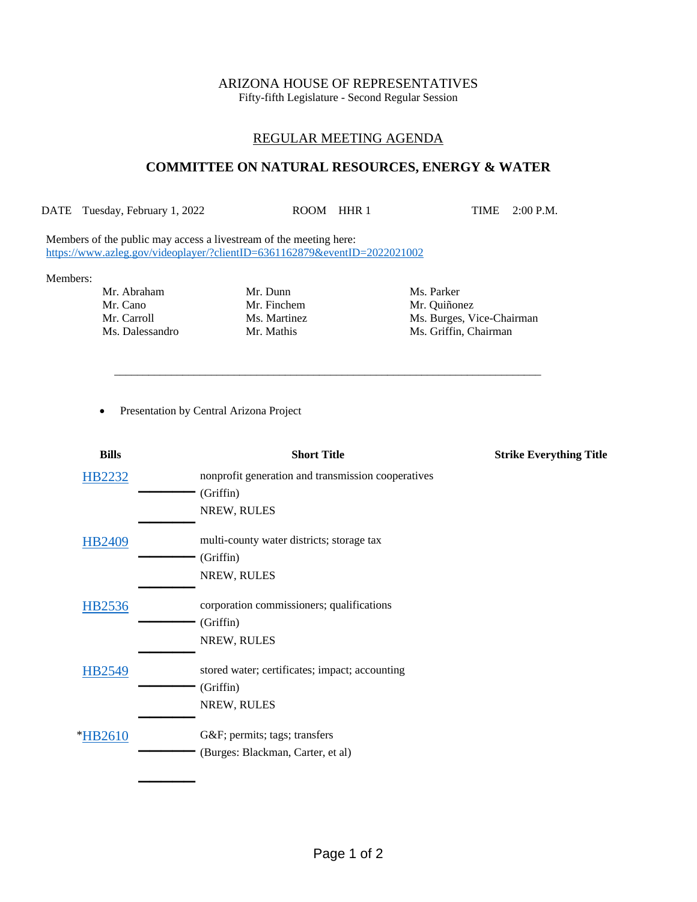# ARIZONA HOUSE OF REPRESENTATIVES

Fifty-fifth Legislature - Second Regular Session

## REGULAR MEETING AGENDA

## **COMMITTEE ON NATURAL RESOURCES, ENERGY & WATER**

DATE Tuesday, February 1, 2022 ROOM HHR 1 TIME 2:00 P.M.

\_\_\_\_\_\_\_\_\_\_\_\_\_\_\_\_\_\_\_\_\_\_\_\_\_\_\_\_\_\_\_\_\_\_\_\_\_\_\_\_\_\_\_\_\_\_\_\_\_\_\_\_\_\_\_\_\_\_\_\_\_\_\_\_\_\_\_\_\_\_\_\_\_\_\_

Members of the public may access a livestream of the meeting here: <https://www.azleg.gov/videoplayer/?clientID=6361162879&eventID=2022021002>

#### Members:

- Mr. Abraham Mr. Dunn Ms. Parker Mr. Cano Mr. Finchem Mr. Quiñonez
- 

Mr. Carroll Ms. Martinez Ms. Burges, Vice-Chairman Ms. Dalessandro Mr. Mathis Ms. Griffin, Chairman

• Presentation by Central Arizona Project

| <b>Bills</b>  | <b>Short Title</b>                                 | <b>Strike Everything Title</b> |
|---------------|----------------------------------------------------|--------------------------------|
| <b>HB2232</b> | nonprofit generation and transmission cooperatives |                                |
|               | (Griffin)                                          |                                |
|               | NREW, RULES                                        |                                |
| <b>HB2409</b> | multi-county water districts; storage tax          |                                |
|               | (Griffin)                                          |                                |
|               | NREW, RULES                                        |                                |
| <b>HB2536</b> | corporation commissioners; qualifications          |                                |
|               | (Griffin)                                          |                                |
|               | NREW, RULES                                        |                                |
| HB2549        | stored water; certificates; impact; accounting     |                                |
|               | (Griffin)                                          |                                |
|               | NREW, RULES                                        |                                |
| *HB2610       | G&F permits; tags; transfers                       |                                |
|               | (Burges: Blackman, Carter, et al)                  |                                |
|               |                                                    |                                |